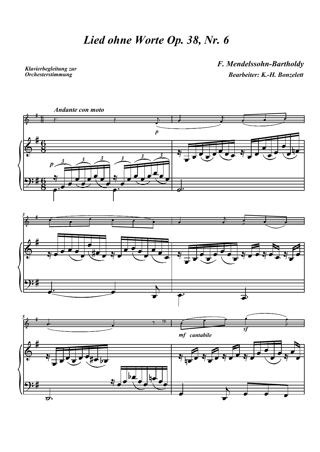Klavierbegleitung zur **Orchesterstimmung** 

F. Mendelssohn-Bartholdy Bearbeiter: K.-H. Bonzelett





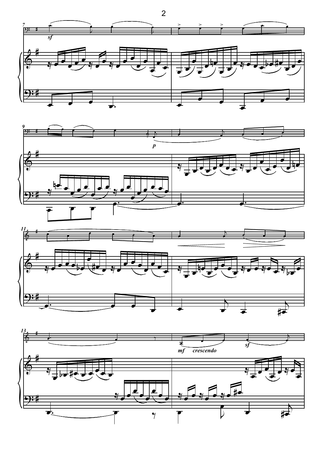







2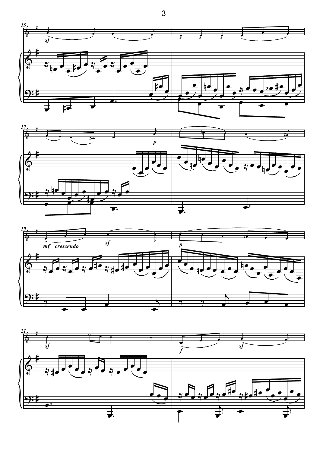







3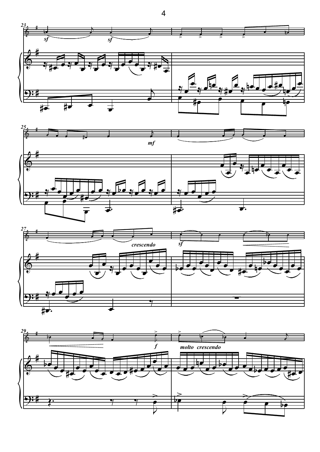







4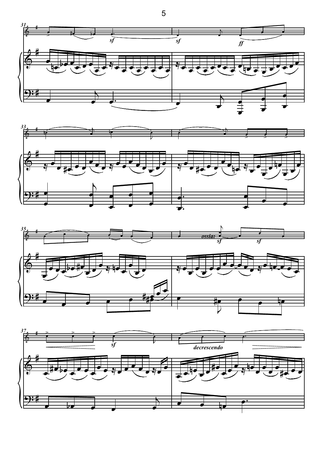

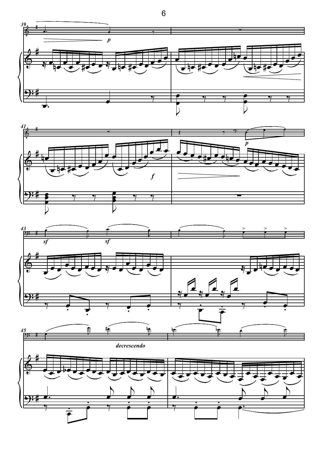